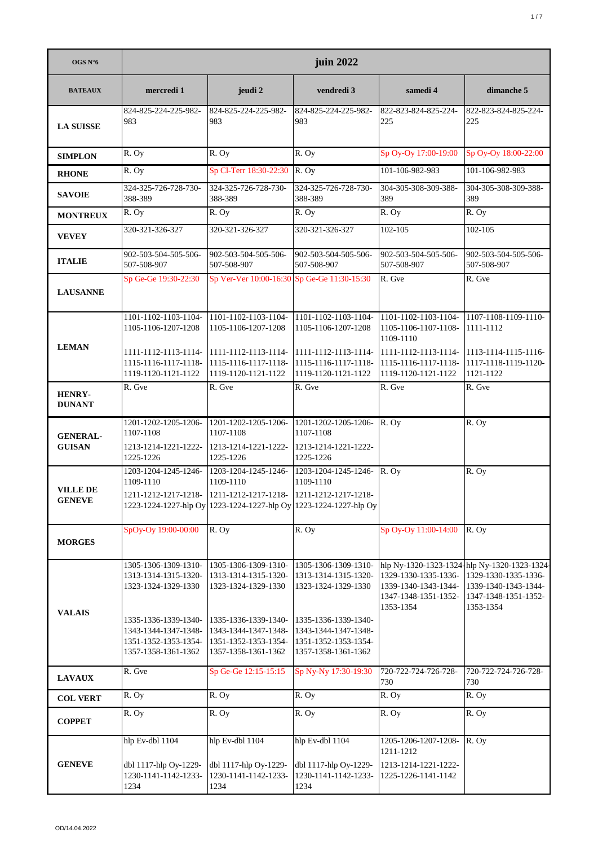| OGS N°6                          | juin 2022                                                                                   |                                                                                                                                     |                                                                                             |                                                                                   |                                                                                                                                   |  |
|----------------------------------|---------------------------------------------------------------------------------------------|-------------------------------------------------------------------------------------------------------------------------------------|---------------------------------------------------------------------------------------------|-----------------------------------------------------------------------------------|-----------------------------------------------------------------------------------------------------------------------------------|--|
| <b>BATEAUX</b>                   | mercredi 1                                                                                  | jeudi 2                                                                                                                             | vendredi 3                                                                                  | samedi 4                                                                          | dimanche 5                                                                                                                        |  |
| <b>LA SUISSE</b>                 | 824-825-224-225-982-<br>983                                                                 | 824-825-224-225-982-<br>983                                                                                                         | 824-825-224-225-982-<br>983                                                                 | 822-823-824-825-224-<br>225                                                       | 822-823-824-825-224-<br>225                                                                                                       |  |
| <b>SIMPLON</b>                   | R. Oy                                                                                       | R. Oy                                                                                                                               | R. Oy                                                                                       | Sp Oy-Oy 17:00-19:00                                                              | Sp Oy-Oy 18:00-22:00                                                                                                              |  |
| <b>RHONE</b>                     | R. Oy                                                                                       | Sp Cl-Terr 18:30-22:30                                                                                                              | R. Oy                                                                                       | 101-106-982-983                                                                   | 101-106-982-983                                                                                                                   |  |
| <b>SAVOIE</b>                    | 324-325-726-728-730-<br>388-389                                                             | 324-325-726-728-730-<br>388-389                                                                                                     | 324-325-726-728-730-<br>388-389                                                             | 304-305-308-309-388-<br>389                                                       | 304-305-308-309-388-<br>389                                                                                                       |  |
| <b>MONTREUX</b>                  | R. Oy                                                                                       | R. Oy                                                                                                                               | R. Oy                                                                                       | R. Oy                                                                             | R. Oy                                                                                                                             |  |
| <b>VEVEY</b>                     | 320-321-326-327                                                                             | 320-321-326-327                                                                                                                     | 320-321-326-327                                                                             | 102-105                                                                           | 102-105                                                                                                                           |  |
| <b>ITALIE</b>                    | 902-503-504-505-506-<br>507-508-907                                                         | 902-503-504-505-506-<br>507-508-907                                                                                                 | 902-503-504-505-506-<br>507-508-907                                                         | 902-503-504-505-506-<br>507-508-907                                               | 902-503-504-505-506-<br>507-508-907                                                                                               |  |
| <b>LAUSANNE</b>                  | Sp Ge-Ge 19:30-22:30                                                                        | Sp Ver-Ver 10:00-16:30 Sp Ge-Ge 11:30-15:30                                                                                         |                                                                                             | R. Gve                                                                            | R. Gve                                                                                                                            |  |
| <b>LEMAN</b>                     | 1101-1102-1103-1104-<br>1105-1106-1207-1208                                                 | 1101-1102-1103-1104-<br>1105-1106-1207-1208                                                                                         | 1101-1102-1103-1104-<br>1105-1106-1207-1208                                                 | 1101-1102-1103-1104-<br>1105-1106-1107-1108-<br>1109-1110                         | 1107-1108-1109-1110-<br>1111-1112                                                                                                 |  |
|                                  | 1111-1112-1113-1114-<br>1115-1116-1117-1118-<br>1119-1120-1121-1122                         | 1111-1112-1113-1114-<br>1115-1116-1117-1118-<br>1119-1120-1121-1122                                                                 | 1111-1112-1113-1114-<br>1115-1116-1117-1118-<br>1119-1120-1121-1122                         | 1111-1112-1113-1114-<br>1115-1116-1117-1118-<br>1119-1120-1121-1122               | 1113-1114-1115-1116-<br>1117-1118-1119-1120-<br>1121-1122                                                                         |  |
| <b>HENRY-</b><br><b>DUNANT</b>   | R. Gve                                                                                      | R. Gve                                                                                                                              | R. Gve                                                                                      | R. Gve                                                                            | R. Gve                                                                                                                            |  |
| <b>GENERAL-</b>                  | 1201-1202-1205-1206-<br>1107-1108                                                           | 1201-1202-1205-1206-<br>1107-1108                                                                                                   | 1201-1202-1205-1206-<br>1107-1108                                                           | R. Oy                                                                             | R. Oy                                                                                                                             |  |
| <b>GUISAN</b>                    | 1213-1214-1221-1222-<br>1225-1226                                                           | 1213-1214-1221-1222-<br>1225-1226                                                                                                   | 1213-1214-1221-1222-<br>1225-1226                                                           |                                                                                   |                                                                                                                                   |  |
|                                  | 1203-1204-1245-1246-<br>1109-1110                                                           | 1203-1204-1245-1246-<br>1109-1110                                                                                                   | 1203-1204-1245-1246-<br>1109-1110                                                           | R. Oy                                                                             | R. Oy                                                                                                                             |  |
| <b>VILLE DE</b><br><b>GENEVE</b> |                                                                                             | 1211-1212-1217-1218- 1211-1212-1217-1218- 1211-1212-1217-1218-<br>1223-1224-1227-hlp Oy 1223-1224-1227-hlp Oy 1223-1224-1227-hlp Oy |                                                                                             |                                                                                   |                                                                                                                                   |  |
| <b>MORGES</b>                    | SpOy-Oy 19:00-00:00                                                                         | R. Oy                                                                                                                               | R. Oy                                                                                       | Sp Oy-Oy 11:00-14:00                                                              | R. Oy                                                                                                                             |  |
|                                  | 1305-1306-1309-1310-<br>1313-1314-1315-1320-<br>1323-1324-1329-1330                         | 1305-1306-1309-1310-<br>1313-1314-1315-1320-<br>1323-1324-1329-1330                                                                 | 1305-1306-1309-1310-<br>1313-1314-1315-1320-<br>1323-1324-1329-1330                         | 1329-1330-1335-1336-<br>1339-1340-1343-1344-<br>1347-1348-1351-1352-<br>1353-1354 | hlp Ny-1320-1323-1324-hlp Ny-1320-1323-1324-<br>1329-1330-1335-1336-<br>1339-1340-1343-1344-<br>1347-1348-1351-1352-<br>1353-1354 |  |
| <b>VALAIS</b>                    | 1335-1336-1339-1340-<br>1343-1344-1347-1348-<br>1351-1352-1353-1354-<br>1357-1358-1361-1362 | 1335-1336-1339-1340-<br>1343-1344-1347-1348-<br>1351-1352-1353-1354-<br>1357-1358-1361-1362                                         | 1335-1336-1339-1340-<br>1343-1344-1347-1348-<br>1351-1352-1353-1354-<br>1357-1358-1361-1362 |                                                                                   |                                                                                                                                   |  |
| <b>LAVAUX</b>                    | R. Gve                                                                                      | Sp Ge-Ge 12:15-15:15                                                                                                                | Sp Ny-Ny 17:30-19:30                                                                        | 720-722-724-726-728-<br>730                                                       | 720-722-724-726-728-<br>730                                                                                                       |  |
| <b>COL VERT</b>                  | R. Oy                                                                                       | R. Oy                                                                                                                               | R. Oy                                                                                       | R. Oy                                                                             | R. Oy                                                                                                                             |  |
| <b>COPPET</b>                    | R. Oy                                                                                       | R. Oy                                                                                                                               | R. Oy                                                                                       | R. Oy                                                                             | R. Oy                                                                                                                             |  |
| <b>GENEVE</b>                    | hlp Ev-dbl 1104<br>dbl 1117-hlp Oy-1229-<br>1230-1141-1142-1233-<br>1234                    | hlp Ev-dbl 1104<br>dbl 1117-hlp Oy-1229-<br>1230-1141-1142-1233-<br>1234                                                            | hlp Ev-dbl 1104<br>dbl 1117-hlp Oy-1229-<br>1230-1141-1142-1233-<br>1234                    | 1205-1206-1207-1208-<br>1211-1212<br>1213-1214-1221-1222-<br>1225-1226-1141-1142  | R. Oy                                                                                                                             |  |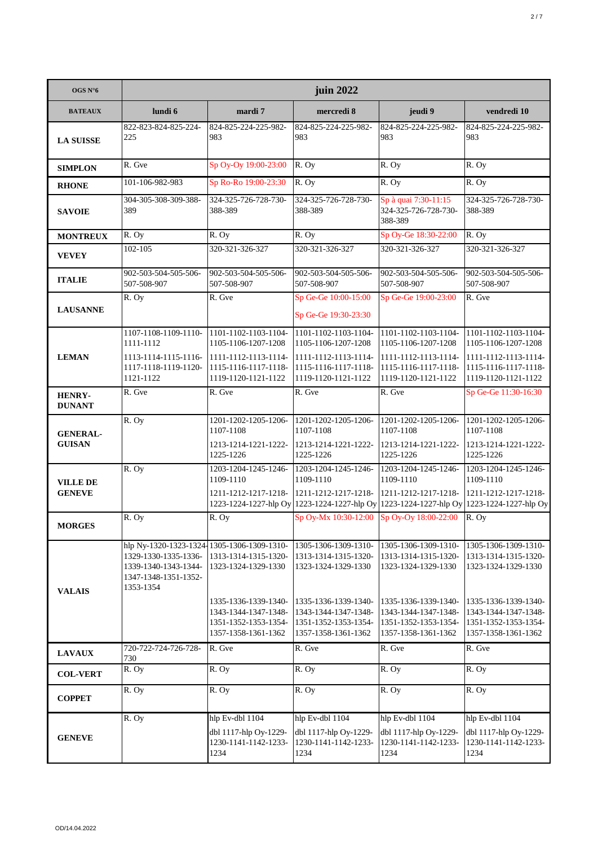| OGS $N^{\circ}6$                 | juin 2022                                                                                                                       |                                                                                             |                                                                                             |                                                                                             |                                                                                                                 |  |
|----------------------------------|---------------------------------------------------------------------------------------------------------------------------------|---------------------------------------------------------------------------------------------|---------------------------------------------------------------------------------------------|---------------------------------------------------------------------------------------------|-----------------------------------------------------------------------------------------------------------------|--|
| <b>BATEAUX</b>                   | lundi 6                                                                                                                         | mardi 7                                                                                     | mercredi 8                                                                                  | jeudi 9                                                                                     | vendredi 10                                                                                                     |  |
| <b>LA SUISSE</b>                 | 822-823-824-825-224-<br>225                                                                                                     | 824-825-224-225-982-<br>983                                                                 | 824-825-224-225-982-<br>983                                                                 | 824-825-224-225-982-<br>983                                                                 | 824-825-224-225-982-<br>983                                                                                     |  |
| <b>SIMPLON</b>                   | R. Gve                                                                                                                          | Sp Oy-Oy 19:00-23:00                                                                        | R. Oy                                                                                       | R. Oy                                                                                       | R. Oy                                                                                                           |  |
| <b>RHONE</b>                     | 101-106-982-983                                                                                                                 | Sp Ro-Ro 19:00-23:30                                                                        | R. Oy                                                                                       | R. Oy                                                                                       | R. Oy                                                                                                           |  |
| <b>SAVOIE</b>                    | 304-305-308-309-388-<br>389                                                                                                     | 324-325-726-728-730-<br>388-389                                                             | 324-325-726-728-730-<br>388-389                                                             | Sp à quai 7:30-11:15<br>324-325-726-728-730-<br>388-389                                     | 324-325-726-728-730-<br>388-389                                                                                 |  |
| <b>MONTREUX</b>                  | R. Oy                                                                                                                           | R. Oy                                                                                       | R. Oy                                                                                       | Sp Oy-Ge 18:30-22:00                                                                        | R. Oy                                                                                                           |  |
| <b>VEVEY</b>                     | 102-105                                                                                                                         | 320-321-326-327                                                                             | 320-321-326-327                                                                             | 320-321-326-327                                                                             | 320-321-326-327                                                                                                 |  |
| <b>ITALIE</b>                    | 902-503-504-505-506-<br>507-508-907                                                                                             | 902-503-504-505-506-<br>507-508-907                                                         | 902-503-504-505-506-<br>507-508-907                                                         | 902-503-504-505-506-<br>507-508-907                                                         | 902-503-504-505-506-<br>507-508-907                                                                             |  |
| <b>LAUSANNE</b>                  | R. Oy                                                                                                                           | R. Gve                                                                                      | Sp Ge-Ge 10:00-15:00                                                                        | Sp Ge-Ge 19:00-23:00                                                                        | $R$ . Gve                                                                                                       |  |
|                                  |                                                                                                                                 |                                                                                             | Sp Ge-Ge 19:30-23:30                                                                        |                                                                                             |                                                                                                                 |  |
|                                  | 1107-1108-1109-1110-<br>1111-1112                                                                                               | 1101-1102-1103-1104-<br>1105-1106-1207-1208                                                 | 1101-1102-1103-1104-<br>1105-1106-1207-1208                                                 | 1101-1102-1103-1104-<br>1105-1106-1207-1208                                                 | 1101-1102-1103-1104-<br>1105-1106-1207-1208                                                                     |  |
| <b>LEMAN</b>                     | 1113-1114-1115-1116-<br>1117-1118-1119-1120-<br>1121-1122                                                                       | 1111-1112-1113-1114-<br>1115-1116-1117-1118-<br>1119-1120-1121-1122                         | 1111-1112-1113-1114-<br>1115-1116-1117-1118-<br>1119-1120-1121-1122                         | 1111-1112-1113-1114-<br>1115-1116-1117-1118-<br>1119-1120-1121-1122                         | 1111-1112-1113-1114-<br>1115-1116-1117-1118-<br>1119-1120-1121-1122                                             |  |
| <b>HENRY-</b><br><b>DUNANT</b>   | R. Gve                                                                                                                          | R. Gve                                                                                      | R. Gve                                                                                      | R. Gve                                                                                      | Sp Ge-Ge 11:30-16:30                                                                                            |  |
| <b>GENERAL-</b>                  | R. Oy                                                                                                                           | 1201-1202-1205-1206-<br>1107-1108                                                           | 1201-1202-1205-1206-<br>1107-1108                                                           | 1201-1202-1205-1206-<br>1107-1108                                                           | 1201-1202-1205-1206-<br>1107-1108                                                                               |  |
| <b>GUISAN</b>                    |                                                                                                                                 | 1213-1214-1221-1222-<br>1225-1226                                                           | 1213-1214-1221-1222-<br>1225-1226                                                           | 1213-1214-1221-1222-<br>1225-1226                                                           | 1213-1214-1221-1222-<br>1225-1226                                                                               |  |
|                                  | R. Oy                                                                                                                           | 1203-1204-1245-1246-<br>1109-1110                                                           | 1203-1204-1245-1246-<br>1109-1110                                                           | 1203-1204-1245-1246-<br>1109-1110                                                           | 1203-1204-1245-1246-<br>1109-1110                                                                               |  |
| <b>VILLE DE</b><br><b>GENEVE</b> |                                                                                                                                 | 1211-1212-1217-1218-                                                                        | 1211-1212-1217-1218-                                                                        | 1211-1212-1217-1218-                                                                        | 1211-1212-1217-1218-<br>1223-1224-1227-hlp Oy 1223-1224-1227-hlp Oy 1223-1224-1227-hlp Oy 1223-1224-1227-hlp Oy |  |
| <b>MORGES</b>                    | R. Oy                                                                                                                           | R. Oy                                                                                       | Sp Oy-Mx 10:30-12:00                                                                        | Sp Oy-Oy 18:00-22:00                                                                        | R. Oy                                                                                                           |  |
| <b>VALAIS</b>                    | hlp Ny-1320-1323-1324-1305-1306-1309-1310-<br>1329-1330-1335-1336-<br>1339-1340-1343-1344-<br>1347-1348-1351-1352-<br>1353-1354 | 1313-1314-1315-1320-<br>1323-1324-1329-1330                                                 | 1305-1306-1309-1310-<br>1313-1314-1315-1320-<br>1323-1324-1329-1330                         | 1305-1306-1309-1310-<br>1313-1314-1315-1320-<br>1323-1324-1329-1330                         | 1305-1306-1309-1310-<br>1313-1314-1315-1320-<br>1323-1324-1329-1330                                             |  |
|                                  |                                                                                                                                 | 1335-1336-1339-1340-<br>1343-1344-1347-1348-<br>1351-1352-1353-1354-<br>1357-1358-1361-1362 | 1335-1336-1339-1340-<br>1343-1344-1347-1348-<br>1351-1352-1353-1354-<br>1357-1358-1361-1362 | 1335-1336-1339-1340-<br>1343-1344-1347-1348-<br>1351-1352-1353-1354-<br>1357-1358-1361-1362 | 1335-1336-1339-1340-<br>1343-1344-1347-1348-<br>1351-1352-1353-1354-<br>1357-1358-1361-1362                     |  |
| <b>LAVAUX</b>                    | 720-722-724-726-728-<br>730                                                                                                     | R. Gve                                                                                      | R. Gve                                                                                      | R. Gve                                                                                      | R. Gve                                                                                                          |  |
| <b>COL-VERT</b>                  | R. Oy                                                                                                                           | R. Oy                                                                                       | R. Oy                                                                                       | R. Oy                                                                                       | R. Oy                                                                                                           |  |
| <b>COPPET</b>                    | R. Oy                                                                                                                           | R. Oy                                                                                       | R. Oy                                                                                       | R. Oy                                                                                       | R. Oy                                                                                                           |  |
| <b>GENEVE</b>                    | R. Oy                                                                                                                           | hlp Ev-dbl 1104<br>dbl 1117-hlp Oy-1229-<br>1230-1141-1142-1233-<br>1234                    | hlp Ev-dbl 1104<br>dbl 1117-hlp Oy-1229-<br>1230-1141-1142-1233-<br>1234                    | hlp Ev-dbl 1104<br>dbl 1117-hlp Oy-1229-<br>1230-1141-1142-1233-<br>1234                    | hlp Ev-dbl 1104<br>dbl 1117-hlp Oy-1229-<br>1230-1141-1142-1233-<br>1234                                        |  |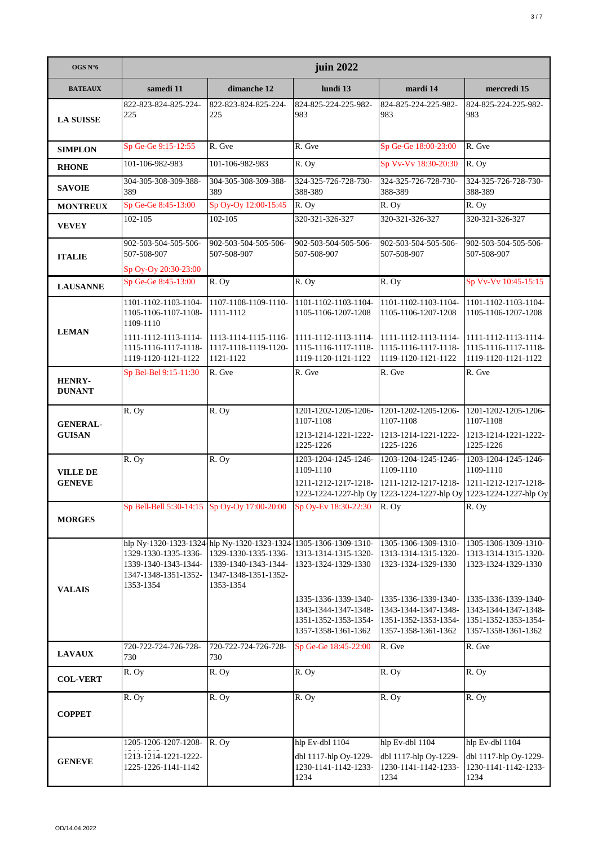| OGS N°6                          | juin 2022                                                                         |                                                                                                                                                       |                                                                                             |                                                                                             |                                                                                                                                |  |
|----------------------------------|-----------------------------------------------------------------------------------|-------------------------------------------------------------------------------------------------------------------------------------------------------|---------------------------------------------------------------------------------------------|---------------------------------------------------------------------------------------------|--------------------------------------------------------------------------------------------------------------------------------|--|
| <b>BATEAUX</b>                   | samedi 11                                                                         | dimanche 12                                                                                                                                           | lundi 13                                                                                    | mardi 14                                                                                    | mercredi 15                                                                                                                    |  |
| <b>LA SUISSE</b>                 | 822-823-824-825-224-<br>225                                                       | 822-823-824-825-224-<br>225                                                                                                                           | 824-825-224-225-982-<br>983                                                                 | 824-825-224-225-982-<br>983                                                                 | 824-825-224-225-982-<br>983                                                                                                    |  |
| <b>SIMPLON</b>                   | Sp Ge-Ge 9:15-12:55                                                               | R. Gve                                                                                                                                                | R. Gve                                                                                      | Sp Ge-Ge 18:00-23:00                                                                        | R. Gve                                                                                                                         |  |
| <b>RHONE</b>                     | 101-106-982-983                                                                   | 101-106-982-983                                                                                                                                       | R. Oy                                                                                       | Sp Vv-Vv 18:30-20:30                                                                        | R. Oy                                                                                                                          |  |
| <b>SAVOIE</b>                    | 304-305-308-309-388-<br>389                                                       | 304-305-308-309-388-<br>389                                                                                                                           | 324-325-726-728-730-<br>388-389                                                             | 324-325-726-728-730-<br>388-389                                                             | 324-325-726-728-730-<br>388-389                                                                                                |  |
| <b>MONTREUX</b>                  | Sp Ge-Ge 8:45-13:00                                                               | Sp Oy-Oy 12:00-15:45                                                                                                                                  | R. Oy                                                                                       | R. Oy                                                                                       | R. Oy                                                                                                                          |  |
| <b>VEVEY</b>                     | 102-105                                                                           | 102-105                                                                                                                                               | 320-321-326-327                                                                             | 320-321-326-327                                                                             | 320-321-326-327                                                                                                                |  |
| <b>ITALIE</b>                    | 902-503-504-505-506-<br>507-508-907<br>Sp Oy-Oy 20:30-23:00                       | 902-503-504-505-506-<br>507-508-907                                                                                                                   | 902-503-504-505-506-<br>507-508-907                                                         | 902-503-504-505-506-<br>507-508-907                                                         | 902-503-504-505-506-<br>507-508-907                                                                                            |  |
| <b>LAUSANNE</b>                  | Sp Ge-Ge 8:45-13:00                                                               | $\overline{R}$ . Oy                                                                                                                                   | R. Oy                                                                                       | R. Oy                                                                                       | Sp Vv-Vv 10:45-15:15                                                                                                           |  |
| <b>LEMAN</b>                     | 1101-1102-1103-1104-<br>1105-1106-1107-1108-<br>1109-1110<br>1111-1112-1113-1114- | 1107-1108-1109-1110-<br>1111-1112<br>1113-1114-1115-1116-                                                                                             | 1101-1102-1103-1104-<br>1105-1106-1207-1208<br>1111-1112-1113-1114-                         | 1101-1102-1103-1104-<br>1105-1106-1207-1208<br>1111-1112-1113-1114-                         | 1101-1102-1103-1104-<br>1105-1106-1207-1208<br>1111-1112-1113-1114-                                                            |  |
|                                  | 1115-1116-1117-1118-<br>1119-1120-1121-1122                                       | 1117-1118-1119-1120-<br>1121-1122                                                                                                                     | 1115-1116-1117-1118-<br>1119-1120-1121-1122                                                 | 1115-1116-1117-1118-<br>1119-1120-1121-1122                                                 | 1115-1116-1117-1118-<br>1119-1120-1121-1122                                                                                    |  |
| HENRY-<br><b>DUNANT</b>          | Sp Bel-Bel 9:15-11:30                                                             | R. Gve                                                                                                                                                | R. Gve                                                                                      | R. Gve                                                                                      | R. Gve                                                                                                                         |  |
| <b>GENERAL-</b><br><b>GUISAN</b> | R. Oy                                                                             | R. Oy                                                                                                                                                 | 1201-1202-1205-1206-<br>1107-1108<br>1213-1214-1221-1222-<br>1225-1226                      | 1201-1202-1205-1206-<br>1107-1108<br>1213-1214-1221-1222-<br>1225-1226                      | 1201-1202-1205-1206-<br>1107-1108<br>1213-1214-1221-1222-<br>1225-1226                                                         |  |
| <b>VILLE DE</b><br><b>GENEVE</b> | R. Oy                                                                             | R. Oy                                                                                                                                                 | 1203-1204-1245-1246-<br>1109-1110<br>1211-1212-1217-1218-                                   | 1203-1204-1245-1246-<br>1109-1110<br>1211-1212-1217-1218-                                   | 1203-1204-1245-1246-<br>1109-1110<br>1211-1212-1217-1218-<br>1223-1224-1227-hlp Oy 1223-1224-1227-hlp Oy 1223-1224-1227-hlp Oy |  |
| <b>MORGES</b>                    |                                                                                   |                                                                                                                                                       | Sp Bell-Bell 5:30-14:15 Sp Oy-Oy 17:00-20:00 Sp Oy-Ev 18:30-22:30 R. Oy                     |                                                                                             | R. Oy                                                                                                                          |  |
| <b>VALAIS</b>                    | 1329-1330-1335-1336-<br>1339-1340-1343-1344-<br>1347-1348-1351-1352-<br>1353-1354 | hlp Ny-1320-1323-1324-hlp Ny-1320-1323-1324-1305-1306-1309-1310-<br>1329-1330-1335-1336-<br>1339-1340-1343-1344-<br>1347-1348-1351-1352-<br>1353-1354 | 1313-1314-1315-1320-<br>1323-1324-1329-1330                                                 | 1305-1306-1309-1310-<br>1313-1314-1315-1320-<br>1323-1324-1329-1330                         | 1305-1306-1309-1310-<br>1313-1314-1315-1320-<br>1323-1324-1329-1330                                                            |  |
|                                  |                                                                                   |                                                                                                                                                       | 1335-1336-1339-1340-<br>1343-1344-1347-1348-<br>1351-1352-1353-1354-<br>1357-1358-1361-1362 | 1335-1336-1339-1340-<br>1343-1344-1347-1348-<br>1351-1352-1353-1354-<br>1357-1358-1361-1362 | 1335-1336-1339-1340-<br>1343-1344-1347-1348-<br>1351-1352-1353-1354-<br>1357-1358-1361-1362                                    |  |
| <b>LAVAUX</b>                    | 720-722-724-726-728-<br>730                                                       | 720-722-724-726-728-<br>730                                                                                                                           | Sp Ge-Ge 18:45-22:00                                                                        | R. Gve                                                                                      | R. Gve                                                                                                                         |  |
| <b>COL-VERT</b>                  | R. Oy                                                                             | R. Oy                                                                                                                                                 | R. Oy                                                                                       | R. Oy                                                                                       | R. Oy                                                                                                                          |  |
| <b>COPPET</b>                    | R. Oy                                                                             | R. Oy                                                                                                                                                 | R. Oy                                                                                       | R. Oy                                                                                       | R. Oy                                                                                                                          |  |
| <b>GENEVE</b>                    | 1205-1206-1207-1208-<br>1213-1214-1221-1222-<br>1225-1226-1141-1142               | R. Ov                                                                                                                                                 | hlp Ev-dbl 1104<br>dbl 1117-hlp Oy-1229-<br>1230-1141-1142-1233-<br>1234                    | hlp Ev-dbl 1104<br>dbl 1117-hlp Oy-1229-<br>1230-1141-1142-1233-<br>1234                    | hlp Ev-dbl 1104<br>dbl 1117-hlp Oy-1229-<br>1230-1141-1142-1233-<br>1234                                                       |  |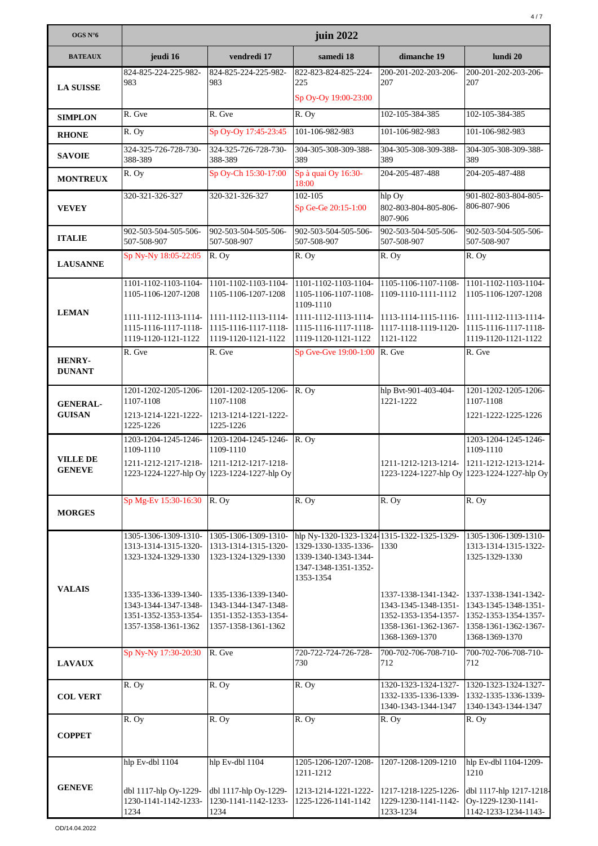| OGS N°6                          | juin 2022                                                                                   |                                                                                                          |                                                                                                                                 |                                                                                                                |                                                                                                                |
|----------------------------------|---------------------------------------------------------------------------------------------|----------------------------------------------------------------------------------------------------------|---------------------------------------------------------------------------------------------------------------------------------|----------------------------------------------------------------------------------------------------------------|----------------------------------------------------------------------------------------------------------------|
| <b>BATEAUX</b>                   | jeudi 16                                                                                    | vendredi 17                                                                                              | samedi 18                                                                                                                       | dimanche 19                                                                                                    | lundi 20                                                                                                       |
| <b>LA SUISSE</b>                 | 824-825-224-225-982-<br>983                                                                 | 824-825-224-225-982-<br>983                                                                              | 822-823-824-825-224-<br>225                                                                                                     | 200-201-202-203-206-<br>207                                                                                    | 200-201-202-203-206-<br>207                                                                                    |
|                                  |                                                                                             |                                                                                                          | Sp Oy-Oy 19:00-23:00                                                                                                            |                                                                                                                |                                                                                                                |
| <b>SIMPLON</b>                   | R. Gve                                                                                      | R. Gve                                                                                                   | R. Oy                                                                                                                           | 102-105-384-385                                                                                                | 102-105-384-385                                                                                                |
| <b>RHONE</b>                     | R. Oy                                                                                       | Sp Oy-Oy 17:45-23:45                                                                                     | 101-106-982-983                                                                                                                 | 101-106-982-983                                                                                                | 101-106-982-983                                                                                                |
| <b>SAVOIE</b>                    | 324-325-726-728-730-<br>388-389                                                             | 324-325-726-728-730-<br>388-389                                                                          | 304-305-308-309-388-<br>389                                                                                                     | 304-305-308-309-388-<br>389                                                                                    | 304-305-308-309-388-<br>389                                                                                    |
| <b>MONTREUX</b>                  | R. Oy                                                                                       | Sp Oy-Ch 15:30-17:00                                                                                     | Sp à quai Oy 16:30-<br>18:00                                                                                                    | 204-205-487-488                                                                                                | 204-205-487-488                                                                                                |
| <b>VEVEY</b>                     | 320-321-326-327                                                                             | 320-321-326-327                                                                                          | 102-105<br>Sp Ge-Ge 20:15-1:00                                                                                                  | hlp Oy<br>802-803-804-805-806-<br>807-906                                                                      | 901-802-803-804-805-<br>806-807-906                                                                            |
| <b>ITALIE</b>                    | 902-503-504-505-506-<br>507-508-907                                                         | 902-503-504-505-506-<br>507-508-907                                                                      | 902-503-504-505-506-<br>507-508-907                                                                                             | 902-503-504-505-506-<br>507-508-907                                                                            | 902-503-504-505-506-<br>507-508-907                                                                            |
| <b>LAUSANNE</b>                  | Sp Ny-Ny 18:05-22:05                                                                        | R. Oy                                                                                                    | R. Oy                                                                                                                           | R. Oy                                                                                                          | R. Oy                                                                                                          |
|                                  | 1101-1102-1103-1104-<br>1105-1106-1207-1208                                                 | 1101-1102-1103-1104-<br>1105-1106-1207-1208                                                              | 1101-1102-1103-1104-<br>1105-1106-1107-1108-<br>1109-1110                                                                       | 1105-1106-1107-1108-<br>1109-1110-1111-1112                                                                    | 1101-1102-1103-1104-<br>1105-1106-1207-1208                                                                    |
| <b>LEMAN</b>                     | 1111-1112-1113-1114-<br>1115-1116-1117-1118-<br>1119-1120-1121-1122                         | 1111-1112-1113-1114-<br>1115-1116-1117-1118-<br>1119-1120-1121-1122                                      | 1111-1112-1113-1114-<br>1115-1116-1117-1118-<br>1119-1120-1121-1122                                                             | 1113-1114-1115-1116-<br>1117-1118-1119-1120-<br>1121-1122                                                      | 1111-1112-1113-1114-<br>1115-1116-1117-1118-<br>1119-1120-1121-1122                                            |
| <b>HENRY-</b><br><b>DUNANT</b>   | R. Gve                                                                                      | R. Gve                                                                                                   | Sp Gve-Gve 19:00-1:00 R. Gve                                                                                                    |                                                                                                                | R. Gve                                                                                                         |
| <b>GENERAL-</b><br><b>GUISAN</b> | 1201-1202-1205-1206-<br>1107-1108<br>1213-1214-1221-1222-<br>1225-1226                      | 1201-1202-1205-1206-<br>1107-1108<br>1213-1214-1221-1222-<br>1225-1226                                   | $\overline{R}$ . Oy                                                                                                             | hlp Bvt-901-403-404-<br>1221-1222                                                                              | 1201-1202-1205-1206-<br>1107-1108<br>1221-1222-1225-1226                                                       |
| <b>VILLE DE</b><br><b>GENEVE</b> | 1203-1204-1245-1246-<br>1109-1110<br>1211-1212-1217-1218-                                   | 1203-1204-1245-1246-<br>1109-1110<br>1211-1212-1217-1218-<br>1223-1224-1227-hlp Oy 1223-1224-1227-hlp Oy | R. Oy                                                                                                                           | 1211-1212-1213-1214- 1211-1212-1213-1214-                                                                      | 1203-1204-1245-1246-<br>1109-1110<br>1223-1224-1227-hlp Oy 1223-1224-1227-hlp Oy                               |
| <b>MORGES</b>                    | Sp Mg-Ev 15:30-16:30                                                                        | R. Oy                                                                                                    | R. Oy                                                                                                                           | R. Oy                                                                                                          | R. Oy                                                                                                          |
|                                  | 1305-1306-1309-1310-<br>1313-1314-1315-1320-<br>1323-1324-1329-1330                         | 1305-1306-1309-1310-<br>1313-1314-1315-1320-<br>1323-1324-1329-1330                                      | hlp Ny-1320-1323-1324 1315-1322-1325-1329-<br>1329-1330-1335-1336-<br>1339-1340-1343-1344-<br>1347-1348-1351-1352-<br>1353-1354 | 1330                                                                                                           | 1305-1306-1309-1310-<br>1313-1314-1315-1322-<br>1325-1329-1330                                                 |
| <b>VALAIS</b>                    | 1335-1336-1339-1340-<br>1343-1344-1347-1348-<br>1351-1352-1353-1354-<br>1357-1358-1361-1362 | 1335-1336-1339-1340-<br>1343-1344-1347-1348-<br>1351-1352-1353-1354-<br>1357-1358-1361-1362              |                                                                                                                                 | 1337-1338-1341-1342-<br>1343-1345-1348-1351-<br>1352-1353-1354-1357-<br>1358-1361-1362-1367-<br>1368-1369-1370 | 1337-1338-1341-1342-<br>1343-1345-1348-1351-<br>1352-1353-1354-1357-<br>1358-1361-1362-1367-<br>1368-1369-1370 |
| <b>LAVAUX</b>                    | Sp Ny-Ny 17:30-20:30                                                                        | R. Gve                                                                                                   | 720-722-724-726-728-<br>730                                                                                                     | 700-702-706-708-710-<br>712                                                                                    | 700-702-706-708-710-<br>712                                                                                    |
| <b>COL VERT</b>                  | R. Oy                                                                                       | R. Oy                                                                                                    | R. Oy                                                                                                                           | 1320-1323-1324-1327-<br>1332-1335-1336-1339-<br>1340-1343-1344-1347                                            | 1320-1323-1324-1327-<br>1332-1335-1336-1339-<br>1340-1343-1344-1347                                            |
| <b>COPPET</b>                    | R. Oy                                                                                       | R. Oy                                                                                                    | R. Oy                                                                                                                           | R. Oy                                                                                                          | R. Oy                                                                                                          |
|                                  | hlp Ev-dbl 1104                                                                             | hlp Ev-dbl 1104                                                                                          | 1205-1206-1207-1208-<br>1211-1212                                                                                               | 1207-1208-1209-1210                                                                                            | hlp Ev-dbl 1104-1209-<br>1210                                                                                  |
| <b>GENEVE</b>                    | dbl 1117-hlp Oy-1229-<br>1230-1141-1142-1233-<br>1234                                       | dbl 1117-hlp Oy-1229-<br>1230-1141-1142-1233-<br>1234                                                    | 1213-1214-1221-1222-<br>1225-1226-1141-1142                                                                                     | 1217-1218-1225-1226-<br>1229-1230-1141-1142-<br>1233-1234                                                      | dbl 1117-hlp 1217-1218-<br>Oy-1229-1230-1141-<br>1142-1233-1234-1143-                                          |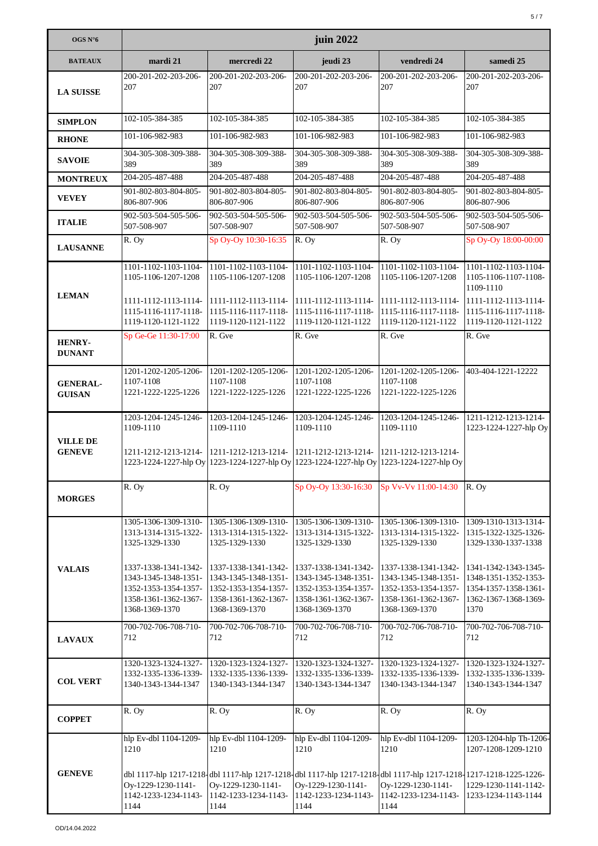| OGS N°6                          | juin 2022                                                                                                      |                                                                                                                                                                        |                                                                                                                |                                                                                                                |                                                                                                      |  |
|----------------------------------|----------------------------------------------------------------------------------------------------------------|------------------------------------------------------------------------------------------------------------------------------------------------------------------------|----------------------------------------------------------------------------------------------------------------|----------------------------------------------------------------------------------------------------------------|------------------------------------------------------------------------------------------------------|--|
| <b>BATEAUX</b>                   | mardi 21                                                                                                       | mercredi 22                                                                                                                                                            | jeudi 23                                                                                                       | vendredi 24                                                                                                    | samedi 25                                                                                            |  |
| <b>LA SUISSE</b>                 | 200-201-202-203-206-<br>207                                                                                    | 200-201-202-203-206-<br>207                                                                                                                                            | 200-201-202-203-206-<br>207                                                                                    | 200-201-202-203-206-<br>207                                                                                    | 200-201-202-203-206-<br>207                                                                          |  |
| <b>SIMPLON</b>                   | 102-105-384-385                                                                                                | 102-105-384-385                                                                                                                                                        | 102-105-384-385                                                                                                | 102-105-384-385                                                                                                | 102-105-384-385                                                                                      |  |
| <b>RHONE</b>                     | 101-106-982-983                                                                                                | 101-106-982-983                                                                                                                                                        | 101-106-982-983                                                                                                | 101-106-982-983                                                                                                | 101-106-982-983                                                                                      |  |
| <b>SAVOIE</b>                    | 304-305-308-309-388-<br>389                                                                                    | 304-305-308-309-388-<br>389                                                                                                                                            | 304-305-308-309-388-<br>389                                                                                    | 304-305-308-309-388-<br>389                                                                                    | 304-305-308-309-388-<br>389                                                                          |  |
| <b>MONTREUX</b>                  | 204-205-487-488                                                                                                | 204-205-487-488                                                                                                                                                        | 204-205-487-488                                                                                                | 204-205-487-488                                                                                                | 204-205-487-488                                                                                      |  |
| <b>VEVEY</b>                     | 901-802-803-804-805-<br>806-807-906                                                                            | 901-802-803-804-805-<br>806-807-906                                                                                                                                    | 901-802-803-804-805-<br>806-807-906                                                                            | 901-802-803-804-805-<br>806-807-906                                                                            | 901-802-803-804-805-<br>806-807-906                                                                  |  |
| <b>ITALIE</b>                    | 902-503-504-505-506-<br>507-508-907                                                                            | 902-503-504-505-506-<br>507-508-907                                                                                                                                    | 902-503-504-505-506-<br>507-508-907                                                                            | 902-503-504-505-506-<br>507-508-907                                                                            | 902-503-504-505-506-<br>507-508-907                                                                  |  |
| <b>LAUSANNE</b>                  | R. Oy                                                                                                          | Sp Oy-Oy 10:30-16:35                                                                                                                                                   | R. Oy                                                                                                          | R. Oy                                                                                                          | Sp Oy-Oy 18:00-00:00                                                                                 |  |
| <b>LEMAN</b>                     | 1101-1102-1103-1104-<br>1105-1106-1207-1208                                                                    | 1101-1102-1103-1104-<br>1105-1106-1207-1208                                                                                                                            | 1101-1102-1103-1104-<br>1105-1106-1207-1208                                                                    | 1101-1102-1103-1104-<br>1105-1106-1207-1208                                                                    | 1101-1102-1103-1104-<br>1105-1106-1107-1108-<br>1109-1110                                            |  |
|                                  | 1111-1112-1113-1114- 1111-1112-1113-1114-<br>1115-1116-1117-1118-<br>1119-1120-1121-1122                       | 1115-1116-1117-1118-<br>1119-1120-1121-1122                                                                                                                            | 1111-1112-1113-1114-<br>1115-1116-1117-1118-<br>1119-1120-1121-1122                                            | 1111-1112-1113-1114-<br>1115-1116-1117-1118-<br>1119-1120-1121-1122                                            | 1111-1112-1113-1114-<br>1115-1116-1117-1118-<br>1119-1120-1121-1122                                  |  |
| <b>HENRY-</b><br><b>DUNANT</b>   | Sp Ge-Ge 11:30-17:00                                                                                           | R. Gve                                                                                                                                                                 | R. Gve                                                                                                         | R. Gve                                                                                                         | R. Gve                                                                                               |  |
| <b>GENERAL-</b><br><b>GUISAN</b> | 1201-1202-1205-1206-<br>1107-1108<br>1221-1222-1225-1226                                                       | 1201-1202-1205-1206-<br>1107-1108<br>1221-1222-1225-1226                                                                                                               | 1201-1202-1205-1206-<br>1107-1108<br>1221-1222-1225-1226                                                       | 1201-1202-1205-1206-<br>1107-1108<br>1221-1222-1225-1226                                                       | 403-404-1221-12222                                                                                   |  |
| <b>VILLE DE</b>                  | 1203-1204-1245-1246-<br>1109-1110                                                                              | 1203-1204-1245-1246-<br>1109-1110                                                                                                                                      | 1203-1204-1245-1246-<br>1109-1110                                                                              | 1203-1204-1245-1246-<br>1109-1110                                                                              | 1211-1212-1213-1214-<br>1223-1224-1227-hlp Oy                                                        |  |
| <b>GENEVE</b>                    | 1211-1212-1213-1214- 1211-1212-1213-1214-                                                                      | 1223-1224-1227-hlp Oy 1223-1224-1227-hlp Oy 1223-1224-1227-hlp Oy 1223-1224-1227-hlp Oy                                                                                | 1211-1212-1213-1214-                                                                                           | 1211-1212-1213-1214-                                                                                           |                                                                                                      |  |
| <b>MORGES</b>                    | R. Oy                                                                                                          | R. Oy                                                                                                                                                                  | Sp Oy-Oy 13:30-16:30                                                                                           | Sp Vv-Vv 11:00-14:30                                                                                           | R. Oy                                                                                                |  |
|                                  | 1305-1306-1309-1310-<br>1313-1314-1315-1322-<br>1325-1329-1330                                                 | 1305-1306-1309-1310-<br>1313-1314-1315-1322-<br>1325-1329-1330                                                                                                         | 1305-1306-1309-1310-<br>1313-1314-1315-1322-<br>1325-1329-1330                                                 | 1305-1306-1309-1310-<br>1313-1314-1315-1322-<br>1325-1329-1330                                                 | 1309-1310-1313-1314-<br>1315-1322-1325-1326-<br>1329-1330-1337-1338                                  |  |
| <b>VALAIS</b>                    | 1337-1338-1341-1342-<br>1343-1345-1348-1351-<br>1352-1353-1354-1357-<br>1358-1361-1362-1367-<br>1368-1369-1370 | 1337-1338-1341-1342-<br>1343-1345-1348-1351-<br>1352-1353-1354-1357-<br>1358-1361-1362-1367-<br>1368-1369-1370                                                         | 1337-1338-1341-1342-<br>1343-1345-1348-1351-<br>1352-1353-1354-1357-<br>1358-1361-1362-1367-<br>1368-1369-1370 | 1337-1338-1341-1342-<br>1343-1345-1348-1351-<br>1352-1353-1354-1357-<br>1358-1361-1362-1367-<br>1368-1369-1370 | 1341-1342-1343-1345-<br>1348-1351-1352-1353-<br>1354-1357-1358-1361-<br>1362-1367-1368-1369-<br>1370 |  |
| <b>LAVAUX</b>                    | 700-702-706-708-710-<br>712                                                                                    | 700-702-706-708-710-<br>712                                                                                                                                            | 700-702-706-708-710-<br>712                                                                                    | 700-702-706-708-710-<br>712                                                                                    | 700-702-706-708-710-<br>712                                                                          |  |
| <b>COL VERT</b>                  | 1320-1323-1324-1327-<br>1332-1335-1336-1339-<br>1340-1343-1344-1347                                            | 1320-1323-1324-1327-<br>1332-1335-1336-1339-<br>1340-1343-1344-1347                                                                                                    | 1320-1323-1324-1327-<br>1332-1335-1336-1339-<br>1340-1343-1344-1347                                            | 1320-1323-1324-1327-<br>1332-1335-1336-1339-<br>1340-1343-1344-1347                                            | 1320-1323-1324-1327-<br>1332-1335-1336-1339-<br>1340-1343-1344-1347                                  |  |
| <b>COPPET</b>                    | R. Oy                                                                                                          | R. Oy                                                                                                                                                                  | R. Oy                                                                                                          | R. Oy                                                                                                          | R. Oy                                                                                                |  |
|                                  | hlp Ev-dbl 1104-1209-<br>1210                                                                                  | hlp Ev-dbl 1104-1209-<br>1210                                                                                                                                          | hlp Ev-dbl 1104-1209-<br>1210                                                                                  | hlp Ev-dbl 1104-1209-<br>1210                                                                                  | 1203-1204-hlp Th-1206-<br>1207-1208-1209-1210                                                        |  |
| <b>GENEVE</b>                    | Oy-1229-1230-1141-<br>1142-1233-1234-1143-<br>1144                                                             | dbl 1117-hlp 1217-1218-dbl 1117-hlp 1217-1218-dbl 1117-hlp 1217-1218-dbl 1117-hlp 1217-1218-1217-1218-1225-1226-<br>Oy-1229-1230-1141-<br>1142-1233-1234-1143-<br>1144 | Oy-1229-1230-1141-<br>1142-1233-1234-1143-<br>1144                                                             | Oy-1229-1230-1141-<br>1142-1233-1234-1143-<br>1144                                                             | 1229-1230-1141-1142-<br>1233-1234-1143-1144                                                          |  |
|                                  |                                                                                                                |                                                                                                                                                                        |                                                                                                                |                                                                                                                |                                                                                                      |  |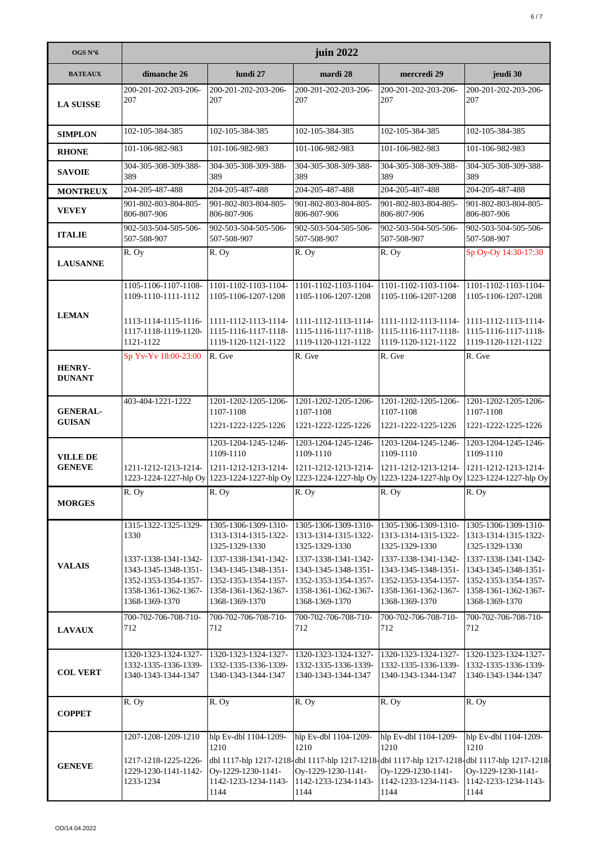| OGS N°6                          | juin 2022                                                                                                                                      |                                                                                                                                                                                  |                                                                                                                                                                                  |                                                                                                                                                                                  |                                                                                                                                                                                     |  |
|----------------------------------|------------------------------------------------------------------------------------------------------------------------------------------------|----------------------------------------------------------------------------------------------------------------------------------------------------------------------------------|----------------------------------------------------------------------------------------------------------------------------------------------------------------------------------|----------------------------------------------------------------------------------------------------------------------------------------------------------------------------------|-------------------------------------------------------------------------------------------------------------------------------------------------------------------------------------|--|
| <b>BATEAUX</b>                   | dimanche 26                                                                                                                                    | lundi 27                                                                                                                                                                         | mardi 28                                                                                                                                                                         | mercredi 29                                                                                                                                                                      | jeudi 30                                                                                                                                                                            |  |
| <b>LA SUISSE</b>                 | 200-201-202-203-206-<br>207                                                                                                                    | 200-201-202-203-206-<br>207                                                                                                                                                      | 200-201-202-203-206-<br>207                                                                                                                                                      | 200-201-202-203-206-<br>207                                                                                                                                                      | 200-201-202-203-206-<br>207                                                                                                                                                         |  |
| <b>SIMPLON</b>                   | 102-105-384-385                                                                                                                                | 102-105-384-385                                                                                                                                                                  | 102-105-384-385                                                                                                                                                                  | 102-105-384-385                                                                                                                                                                  | 102-105-384-385                                                                                                                                                                     |  |
| <b>RHONE</b>                     | 101-106-982-983                                                                                                                                | 101-106-982-983                                                                                                                                                                  | 101-106-982-983                                                                                                                                                                  | 101-106-982-983                                                                                                                                                                  | 101-106-982-983                                                                                                                                                                     |  |
| <b>SAVOIE</b>                    | 304-305-308-309-388-<br>389                                                                                                                    | 304-305-308-309-388-<br>389                                                                                                                                                      | 304-305-308-309-388-<br>389                                                                                                                                                      | 304-305-308-309-388-<br>389                                                                                                                                                      | 304-305-308-309-388-<br>389                                                                                                                                                         |  |
| <b>MONTREUX</b>                  | 204-205-487-488                                                                                                                                | 204-205-487-488                                                                                                                                                                  | 204-205-487-488                                                                                                                                                                  | 204-205-487-488                                                                                                                                                                  | 204-205-487-488                                                                                                                                                                     |  |
| <b>VEVEY</b>                     | 901-802-803-804-805-<br>806-807-906                                                                                                            | 901-802-803-804-805-<br>806-807-906                                                                                                                                              | 901-802-803-804-805-<br>806-807-906                                                                                                                                              | 901-802-803-804-805-<br>806-807-906                                                                                                                                              | 901-802-803-804-805-<br>806-807-906                                                                                                                                                 |  |
| <b>ITALIE</b>                    | 902-503-504-505-506-<br>507-508-907                                                                                                            | 902-503-504-505-506-<br>507-508-907                                                                                                                                              | 902-503-504-505-506-<br>507-508-907                                                                                                                                              | 902-503-504-505-506-<br>507-508-907                                                                                                                                              | 902-503-504-505-506-<br>507-508-907                                                                                                                                                 |  |
| <b>LAUSANNE</b>                  | R. Oy                                                                                                                                          | R. Oy                                                                                                                                                                            | R. Oy                                                                                                                                                                            | R. Oy                                                                                                                                                                            | Sp Oy-Oy 14:30-17:30                                                                                                                                                                |  |
| <b>LEMAN</b>                     | 1105-1106-1107-1108-<br>1109-1110-1111-1112                                                                                                    | 1101-1102-1103-1104-<br>1105-1106-1207-1208                                                                                                                                      | 1101-1102-1103-1104-<br>1105-1106-1207-1208                                                                                                                                      | 1101-1102-1103-1104-<br>1105-1106-1207-1208                                                                                                                                      | 1101-1102-1103-1104-<br>1105-1106-1207-1208                                                                                                                                         |  |
|                                  | 1113-1114-1115-1116-<br>1117-1118-1119-1120-<br>1121-1122                                                                                      | 1111-1112-1113-1114-<br>1115-1116-1117-1118-<br>1119-1120-1121-1122                                                                                                              | 1111-1112-1113-1114-<br>1115-1116-1117-1118-<br>1119-1120-1121-1122                                                                                                              | 1111-1112-1113-1114-<br>1115-1116-1117-1118-<br>1119-1120-1121-1122                                                                                                              | 1111-1112-1113-1114-<br>1115-1116-1117-1118-<br>1119-1120-1121-1122                                                                                                                 |  |
| <b>HENRY-</b><br><b>DUNANT</b>   | Sp Yv-Yv 18:00-23:00                                                                                                                           | R. Gve                                                                                                                                                                           | R. Gve                                                                                                                                                                           | R. Gve                                                                                                                                                                           | R. Gve                                                                                                                                                                              |  |
| <b>GENERAL-</b><br><b>GUISAN</b> | 403-404-1221-1222                                                                                                                              | 1201-1202-1205-1206-<br>1107-1108<br>1221-1222-1225-1226                                                                                                                         | 1201-1202-1205-1206-<br>1107-1108<br>1221-1222-1225-1226                                                                                                                         | 1201-1202-1205-1206-<br>1107-1108<br>1221-1222-1225-1226                                                                                                                         | 1201-1202-1205-1206-<br>1107-1108<br>1221-1222-1225-1226                                                                                                                            |  |
| <b>VILLE DE</b><br><b>GENEVE</b> | 1211-1212-1213-1214-                                                                                                                           | 1203-1204-1245-1246-<br>1109-1110<br>1211-1212-1213-1214-<br>1223-1224-1227-hlp Oy 1223-1224-1227-hlp Oy                                                                         | 1203-1204-1245-1246-<br>1109-1110<br>1211-1212-1213-1214-                                                                                                                        | 1203-1204-1245-1246-<br>1109-1110<br>1211-1212-1213-1214-                                                                                                                        | 1203-1204-1245-1246-<br>1109-1110<br>1211-1212-1213-1214-<br>1223-1224-1227-hlp Oy 1223-1224-1227-hlp Oy 1223-1224-1227-hlp Oy                                                      |  |
| <b>MORGES</b>                    | $\overline{R}$ . Oy                                                                                                                            | R. Oy                                                                                                                                                                            | $\overline{R}$ . Oy                                                                                                                                                              | $\overline{R}$ . Oy                                                                                                                                                              | R. Oy                                                                                                                                                                               |  |
| <b>VALAIS</b>                    | 1315-1322-1325-1329-<br>1330<br>1337-1338-1341-1342-<br>1343-1345-1348-1351-<br>1352-1353-1354-1357-<br>1358-1361-1362-1367-<br>1368-1369-1370 | 1305-1306-1309-1310-<br>1313-1314-1315-1322-<br>1325-1329-1330<br>1337-1338-1341-1342-<br>1343-1345-1348-1351-<br>1352-1353-1354-1357-<br>1358-1361-1362-1367-<br>1368-1369-1370 | 1305-1306-1309-1310-<br>1313-1314-1315-1322-<br>1325-1329-1330<br>1337-1338-1341-1342-<br>1343-1345-1348-1351-<br>1352-1353-1354-1357-<br>1358-1361-1362-1367-<br>1368-1369-1370 | 1305-1306-1309-1310-<br>1313-1314-1315-1322-<br>1325-1329-1330<br>1337-1338-1341-1342-<br>1343-1345-1348-1351-<br>1352-1353-1354-1357-<br>1358-1361-1362-1367-<br>1368-1369-1370 | 1305-1306-1309-1310-<br>1313-1314-1315-1322-<br>1325-1329-1330<br>1337-1338-1341-1342-<br>1343-1345-1348-1351-<br>1352-1353-1354-1357-<br>1358-1361-1362-1367-<br>1368-1369-1370    |  |
| <b>LAVAUX</b>                    | 700-702-706-708-710-<br>712                                                                                                                    | 700-702-706-708-710-<br>712                                                                                                                                                      | 700-702-706-708-710-<br>712                                                                                                                                                      | 700-702-706-708-710-<br>712                                                                                                                                                      | 700-702-706-708-710-<br>712                                                                                                                                                         |  |
| <b>COL VERT</b>                  | 1320-1323-1324-1327-<br>1332-1335-1336-1339-<br>1340-1343-1344-1347                                                                            | 1320-1323-1324-1327-<br>1332-1335-1336-1339-<br>1340-1343-1344-1347                                                                                                              | 1320-1323-1324-1327-<br>1332-1335-1336-1339-<br>1340-1343-1344-1347                                                                                                              | 1320-1323-1324-1327-<br>1332-1335-1336-1339-<br>1340-1343-1344-1347                                                                                                              | 1320-1323-1324-1327-<br>1332-1335-1336-1339-<br>1340-1343-1344-1347                                                                                                                 |  |
| <b>COPPET</b>                    | R. Oy                                                                                                                                          | R. Oy                                                                                                                                                                            | R. Oy                                                                                                                                                                            | R. Oy                                                                                                                                                                            | R. Oy                                                                                                                                                                               |  |
| <b>GENEVE</b>                    | 1207-1208-1209-1210<br>1217-1218-1225-1226-<br>1229-1230-1141-1142-<br>1233-1234                                                               | hlp Ev-dbl 1104-1209-<br>1210<br>Oy-1229-1230-1141-<br>1142-1233-1234-1143-<br>1144                                                                                              | hlp Ev-dbl 1104-1209-<br>1210<br>Oy-1229-1230-1141-<br>1142-1233-1234-1143-<br>1144                                                                                              | hlp Ev-dbl 1104-1209-<br>1210<br>Oy-1229-1230-1141-<br>1142-1233-1234-1143-<br>1144                                                                                              | hlp Ev-dbl 1104-1209-<br>1210<br>dbl 1117-hlp 1217-1218-dbl 1117-hlp 1217-1218-dbl 1117-hlp 1217-1218-dbl 1117-hlp 1217-1218-<br>Oy-1229-1230-1141-<br>1142-1233-1234-1143-<br>1144 |  |